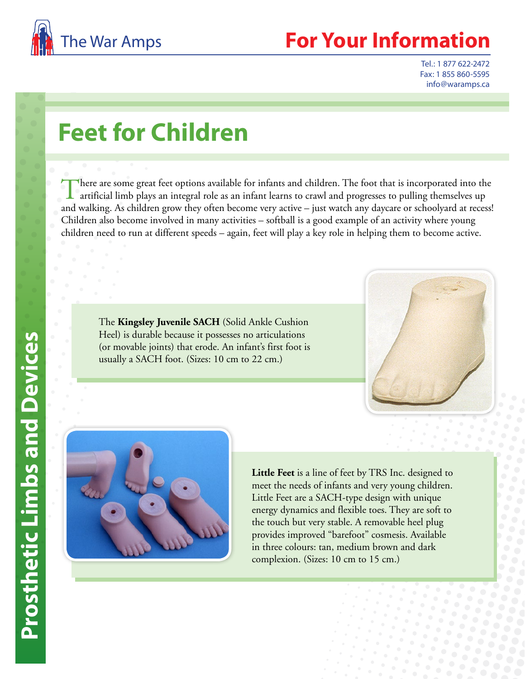

## **For Your Information**

Tel.: 1 877 622-2472 Fax: 1 855 860-5595 info@waramps.ca

## **Feet for Children**

There are some great feet options available for infants and children. The foot that is incorporated into the artificial limb plays an integral role as an infant learns to crawl and progresses to pulling themselves up and walking. As children grow they often become very active – just watch any daycare or schoolyard at recess! Children also become involved in many activities – softball is a good example of an activity where young children need to run at different speeds – again, feet will play a key role in helping them to become active.

The **Kingsley Juvenile SACH** (Solid Ankle Cushion Heel) is durable because it possesses no articulations (or movable joints) that erode. An infant's first foot is usually a SACH foot. (Sizes: 10 cm to 22 cm.)





**Little Feet** is a line of feet by TRS Inc. designed to meet the needs of infants and very young children. Little Feet are a SACH-type design with unique energy dynamics and flexible toes. They are soft to the touch but very stable. A removable heel plug provides improved "barefoot" cosmesis. Available in three colours: tan, medium brown and dark complexion. (Sizes: 10 cm to 15 cm.)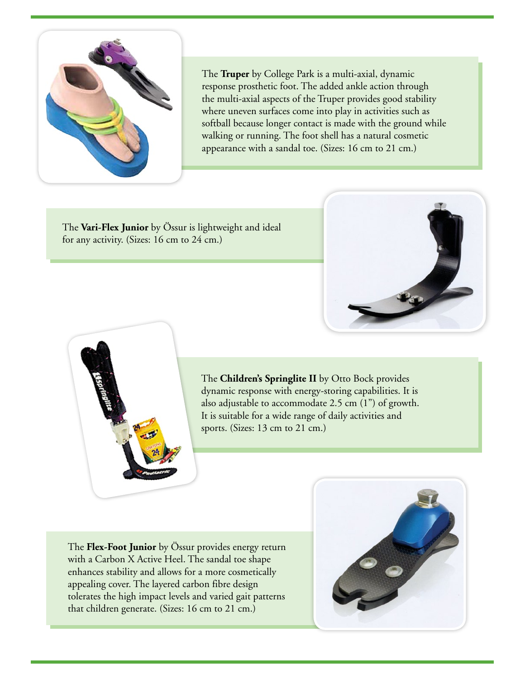

The **Truper** by College Park is a multi-axial, dynamic response prosthetic foot. The added ankle action through the multi-axial aspects of the Truper provides good stability where uneven surfaces come into play in activities such as softball because longer contact is made with the ground while walking or running. The foot shell has a natural cosmetic appearance with a sandal toe. (Sizes: 16 cm to 21 cm.)

The **Vari-Flex Junior** by Össur is lightweight and ideal for any activity. (Sizes: 16 cm to 24 cm.)





The **Children's Springlite II** by Otto Bock provides dynamic response with energy-storing capabilities. It is also adjustable to accommodate 2.5 cm (1") of growth. It is suitable for a wide range of daily activities and sports. (Sizes: 13 cm to 21 cm.)

The **Flex-Foot Junior** by Össur provides energy return with a Carbon X Active Heel. The sandal toe shape enhances stability and allows for a more cosmetically appealing cover. The layered carbon fibre design tolerates the high impact levels and varied gait patterns that children generate. (Sizes: 16 cm to 21 cm.)